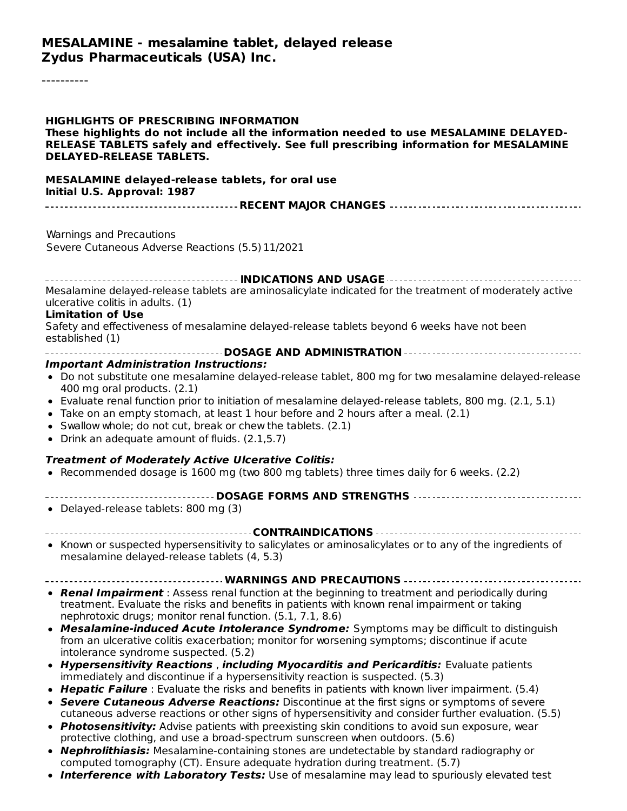#### **MESALAMINE - mesalamine tablet, delayed release Zydus Pharmaceuticals (USA) Inc.**

----------

| <b>HIGHLIGHTS OF PRESCRIBING INFORMATION</b><br>These highlights do not include all the information needed to use MESALAMINE DELAYED-<br>RELEASE TABLETS safely and effectively. See full prescribing information for MESALAMINE<br><b>DELAYED-RELEASE TABLETS.</b>                                                                                                                                                                                                                                       |  |  |  |  |
|-----------------------------------------------------------------------------------------------------------------------------------------------------------------------------------------------------------------------------------------------------------------------------------------------------------------------------------------------------------------------------------------------------------------------------------------------------------------------------------------------------------|--|--|--|--|
| MESALAMINE delayed-release tablets, for oral use<br>Initial U.S. Approval: 1987                                                                                                                                                                                                                                                                                                                                                                                                                           |  |  |  |  |
|                                                                                                                                                                                                                                                                                                                                                                                                                                                                                                           |  |  |  |  |
| Warnings and Precautions<br>Severe Cutaneous Adverse Reactions (5.5) 11/2021                                                                                                                                                                                                                                                                                                                                                                                                                              |  |  |  |  |
|                                                                                                                                                                                                                                                                                                                                                                                                                                                                                                           |  |  |  |  |
| Mesalamine delayed-release tablets are aminosalicylate indicated for the treatment of moderately active<br>ulcerative colitis in adults. (1)<br><b>Limitation of Use</b>                                                                                                                                                                                                                                                                                                                                  |  |  |  |  |
| Safety and effectiveness of mesalamine delayed-release tablets beyond 6 weeks have not been<br>established (1)                                                                                                                                                                                                                                                                                                                                                                                            |  |  |  |  |
|                                                                                                                                                                                                                                                                                                                                                                                                                                                                                                           |  |  |  |  |
| <b>Important Administration Instructions:</b><br>• Do not substitute one mesalamine delayed-release tablet, 800 mg for two mesalamine delayed-release<br>400 mg oral products. (2.1)<br>• Evaluate renal function prior to initiation of mesalamine delayed-release tablets, 800 mg. (2.1, 5.1)<br>• Take on an empty stomach, at least 1 hour before and 2 hours after a meal. (2.1)<br>• Swallow whole; do not cut, break or chew the tablets. (2.1)<br>• Drink an adequate amount of fluids. (2.1,5.7) |  |  |  |  |
|                                                                                                                                                                                                                                                                                                                                                                                                                                                                                                           |  |  |  |  |
| <b>Treatment of Moderately Active Ulcerative Colitis:</b><br>• Recommended dosage is 1600 mg (two 800 mg tablets) three times daily for 6 weeks. (2.2)                                                                                                                                                                                                                                                                                                                                                    |  |  |  |  |
|                                                                                                                                                                                                                                                                                                                                                                                                                                                                                                           |  |  |  |  |
| • Delayed-release tablets: 800 mg (3)                                                                                                                                                                                                                                                                                                                                                                                                                                                                     |  |  |  |  |
| • Known or suspected hypersensitivity to salicylates or aminosalicylates or to any of the ingredients of<br>mesalamine delayed-release tablets (4, 5.3)                                                                                                                                                                                                                                                                                                                                                   |  |  |  |  |
| WARNINGS AND PRECAUTIONS                                                                                                                                                                                                                                                                                                                                                                                                                                                                                  |  |  |  |  |
| • Renal Impairment : Assess renal function at the beginning to treatment and periodically during<br>treatment. Evaluate the risks and benefits in patients with known renal impairment or taking<br>nephrotoxic drugs; monitor renal function. (5.1, 7.1, 8.6)                                                                                                                                                                                                                                            |  |  |  |  |
| • Mesalamine-induced Acute Intolerance Syndrome: Symptoms may be difficult to distinguish<br>from an ulcerative colitis exacerbation; monitor for worsening symptoms; discontinue if acute<br>intolerance syndrome suspected. (5.2)                                                                                                                                                                                                                                                                       |  |  |  |  |
| • Hypersensitivity Reactions, including Myocarditis and Pericarditis: Evaluate patients<br>immediately and discontinue if a hypersensitivity reaction is suspected. (5.3)                                                                                                                                                                                                                                                                                                                                 |  |  |  |  |
| • Hepatic Failure : Evaluate the risks and benefits in patients with known liver impairment. (5.4)<br>• Severe Cutaneous Adverse Reactions: Discontinue at the first signs or symptoms of severe<br>cutaneous adverse reactions or other signs of hypersensitivity and consider further evaluation. (5.5)<br>• Photosensitivity: Advise patients with preexisting skin conditions to avoid sun exposure, wear                                                                                             |  |  |  |  |
| protective clothing, and use a broad-spectrum sunscreen when outdoors. (5.6)<br>• Nephrolithiasis: Mesalamine-containing stones are undetectable by standard radiography or<br>computed tomography (CT). Ensure adequate hydration during treatment. (5.7)                                                                                                                                                                                                                                                |  |  |  |  |

**Interference with Laboratory Tests:** Use of mesalamine may lead to spuriously elevated test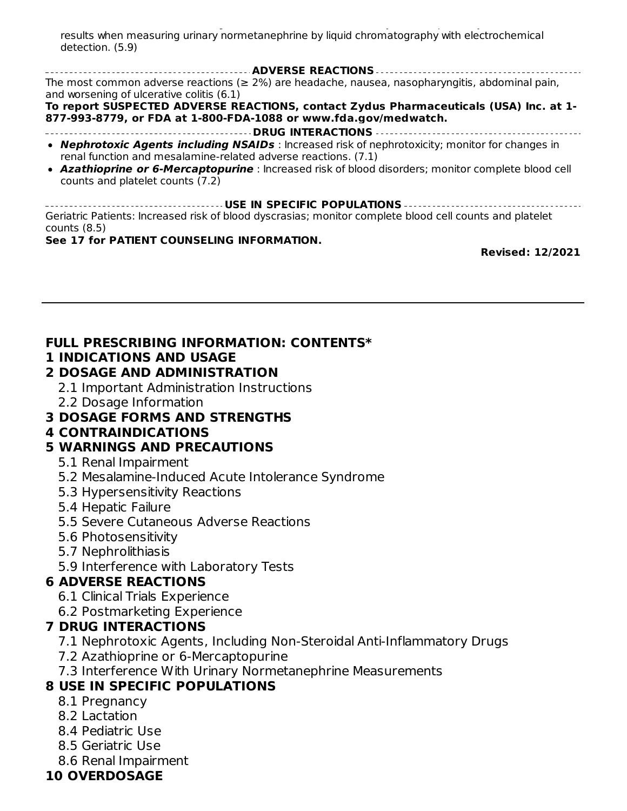**Interference with Laboratory Tests:** Use of mesalamine may lead to spuriously elevated test results when measuring urinary normetanephrine by liquid chromatography with electrochemical detection. (5.9)

**ADVERSE REACTIONS** The most common adverse reactions ( $\geq$  2%) are headache, nausea, nasopharyngitis, abdominal pain, and worsening of ulcerative colitis (6.1)

**To report SUSPECTED ADVERSE REACTIONS, contact Zydus Pharmaceuticals (USA) Inc. at 1- 877-993-8779, or FDA at 1-800-FDA-1088 or www.fda.gov/medwatch.**

- **DRUG INTERACTIONS Nephrotoxic Agents including NSAIDs** : Increased risk of nephrotoxicity; monitor for changes in renal function and mesalamine-related adverse reactions. (7.1)
- **Azathioprine or 6-Mercaptopurine** : Increased risk of blood disorders; monitor complete blood cell counts and platelet counts (7.2)

**USE IN SPECIFIC POPULATIONS** Geriatric Patients: Increased risk of blood dyscrasias; monitor complete blood cell counts and platelet counts (8.5)

#### **See 17 for PATIENT COUNSELING INFORMATION.**

**Revised: 12/2021**

### **FULL PRESCRIBING INFORMATION: CONTENTS\***

#### **1 INDICATIONS AND USAGE**

#### **2 DOSAGE AND ADMINISTRATION**

- 2.1 Important Administration Instructions
- 2.2 Dosage Information

### **3 DOSAGE FORMS AND STRENGTHS**

### **4 CONTRAINDICATIONS**

## **5 WARNINGS AND PRECAUTIONS**

- 5.1 Renal Impairment
- 5.2 Mesalamine-Induced Acute Intolerance Syndrome
- 5.3 Hypersensitivity Reactions
- 5.4 Hepatic Failure
- 5.5 Severe Cutaneous Adverse Reactions
- 5.6 Photosensitivity
- 5.7 Nephrolithiasis
- 5.9 Interference with Laboratory Tests

## **6 ADVERSE REACTIONS**

- 6.1 Clinical Trials Experience
- 6.2 Postmarketing Experience

### **7 DRUG INTERACTIONS**

- 7.1 Nephrotoxic Agents, Including Non-Steroidal Anti-Inflammatory Drugs
- 7.2 Azathioprine or 6-Mercaptopurine
- 7.3 Interference With Urinary Normetanephrine Measurements

# **8 USE IN SPECIFIC POPULATIONS**

- 8.1 Pregnancy
- 8.2 Lactation
- 8.4 Pediatric Use
- 8.5 Geriatric Use
- 8.6 Renal Impairment

# **10 OVERDOSAGE**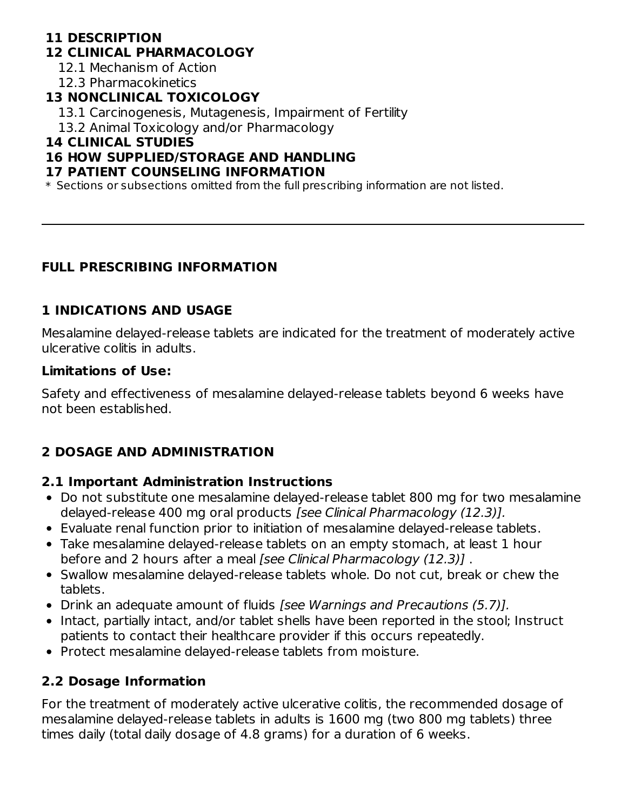## **11 DESCRIPTION**

#### **12 CLINICAL PHARMACOLOGY**

12.1 Mechanism of Action

12.3 Pharmacokinetics

### **13 NONCLINICAL TOXICOLOGY**

- 13.1 Carcinogenesis, Mutagenesis, Impairment of Fertility
- 13.2 Animal Toxicology and/or Pharmacology

## **14 CLINICAL STUDIES**

### **16 HOW SUPPLIED/STORAGE AND HANDLING**

#### **17 PATIENT COUNSELING INFORMATION**

 $\ast$  Sections or subsections omitted from the full prescribing information are not listed.

### **FULL PRESCRIBING INFORMATION**

## **1 INDICATIONS AND USAGE**

Mesalamine delayed-release tablets are indicated for the treatment of moderately active ulcerative colitis in adults.

#### **Limitations of Use:**

Safety and effectiveness of mesalamine delayed-release tablets beyond 6 weeks have not been established.

# **2 DOSAGE AND ADMINISTRATION**

### **2.1 Important Administration Instructions**

- Do not substitute one mesalamine delayed-release tablet 800 mg for two mesalamine delayed-release 400 mg oral products [see Clinical Pharmacology (12.3)].
- Evaluate renal function prior to initiation of mesalamine delayed-release tablets.
- Take mesalamine delayed-release tablets on an empty stomach, at least 1 hour before and 2 hours after a meal [see Clinical Pharmacology (12.3)] .
- Swallow mesalamine delayed-release tablets whole. Do not cut, break or chew the tablets.
- Drink an adequate amount of fluids *[see Warnings and Precautions (5.7)]*.
- Intact, partially intact, and/or tablet shells have been reported in the stool; Instruct patients to contact their healthcare provider if this occurs repeatedly.
- Protect mesalamine delayed-release tablets from moisture.

### **2.2 Dosage Information**

For the treatment of moderately active ulcerative colitis, the recommended dosage of mesalamine delayed-release tablets in adults is 1600 mg (two 800 mg tablets) three times daily (total daily dosage of 4.8 grams) for a duration of 6 weeks.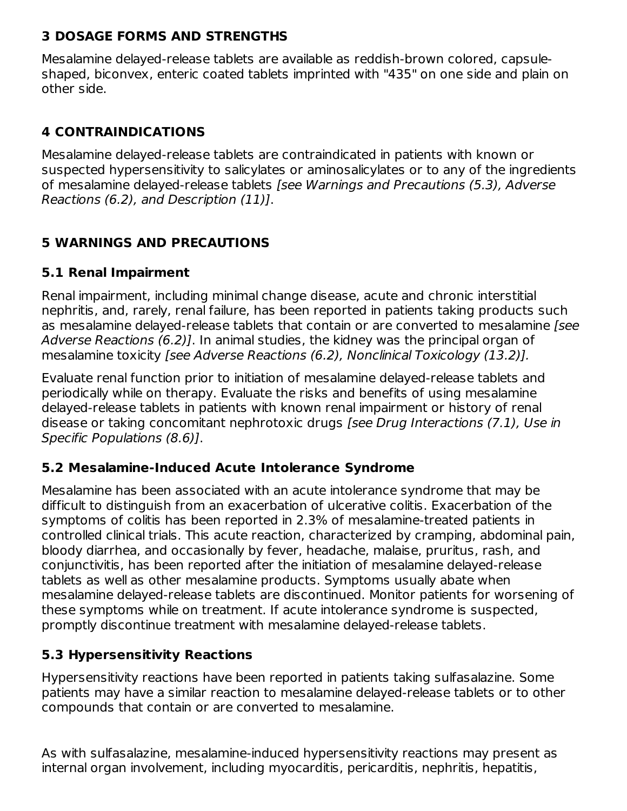#### **3 DOSAGE FORMS AND STRENGTHS**

Mesalamine delayed-release tablets are available as reddish-brown colored, capsuleshaped, biconvex, enteric coated tablets imprinted with "435" on one side and plain on other side.

### **4 CONTRAINDICATIONS**

Mesalamine delayed-release tablets are contraindicated in patients with known or suspected hypersensitivity to salicylates or aminosalicylates or to any of the ingredients of mesalamine delayed-release tablets [see Warnings and Precautions (5.3), Adverse Reactions (6.2), and Description (11)].

## **5 WARNINGS AND PRECAUTIONS**

### **5.1 Renal Impairment**

Renal impairment, including minimal change disease, acute and chronic interstitial nephritis, and, rarely, renal failure, has been reported in patients taking products such as mesalamine delayed-release tablets that contain or are converted to mesalamine [see Adverse Reactions (6.2)]. In animal studies, the kidney was the principal organ of mesalamine toxicity [see Adverse Reactions (6.2), Nonclinical Toxicology (13.2)].

Evaluate renal function prior to initiation of mesalamine delayed-release tablets and periodically while on therapy. Evaluate the risks and benefits of using mesalamine delayed-release tablets in patients with known renal impairment or history of renal disease or taking concomitant nephrotoxic drugs [see Drug Interactions (7.1), Use in Specific Populations (8.6)].

### **5.2 Mesalamine-Induced Acute Intolerance Syndrome**

Mesalamine has been associated with an acute intolerance syndrome that may be difficult to distinguish from an exacerbation of ulcerative colitis. Exacerbation of the symptoms of colitis has been reported in 2.3% of mesalamine-treated patients in controlled clinical trials. This acute reaction, characterized by cramping, abdominal pain, bloody diarrhea, and occasionally by fever, headache, malaise, pruritus, rash, and conjunctivitis, has been reported after the initiation of mesalamine delayed-release tablets as well as other mesalamine products. Symptoms usually abate when mesalamine delayed-release tablets are discontinued. Monitor patients for worsening of these symptoms while on treatment. If acute intolerance syndrome is suspected, promptly discontinue treatment with mesalamine delayed-release tablets.

### **5.3 Hypersensitivity Reactions**

Hypersensitivity reactions have been reported in patients taking sulfasalazine. Some patients may have a similar reaction to mesalamine delayed-release tablets or to other compounds that contain or are converted to mesalamine.

As with sulfasalazine, mesalamine-induced hypersensitivity reactions may present as internal organ involvement, including myocarditis, pericarditis, nephritis, hepatitis,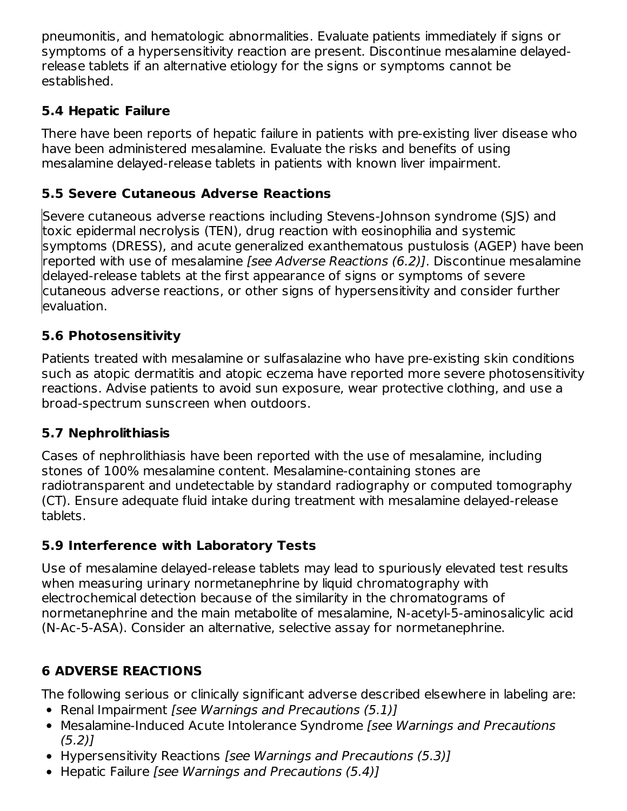pneumonitis, and hematologic abnormalities. Evaluate patients immediately if signs or symptoms of a hypersensitivity reaction are present. Discontinue mesalamine delayedrelease tablets if an alternative etiology for the signs or symptoms cannot be established.

## **5.4 Hepatic Failure**

There have been reports of hepatic failure in patients with pre-existing liver disease who have been administered mesalamine. Evaluate the risks and benefits of using mesalamine delayed-release tablets in patients with known liver impairment.

# **5.5 Severe Cutaneous Adverse Reactions**

Severe cutaneous adverse reactions including Stevens-Johnson syndrome (SJS) and toxic epidermal necrolysis (TEN), drug reaction with eosinophilia and systemic symptoms (DRESS), and acute generalized exanthematous pustulosis (AGEP) have been reported with use of mesalamine *[see Adverse Reactions (6.2)]*. Discontinue mesalamine delayed-release tablets at the first appearance of signs or symptoms of severe cutaneous adverse reactions, or other signs of hypersensitivity and consider further evaluation.

# **5.6 Photosensitivity**

Patients treated with mesalamine or sulfasalazine who have pre-existing skin conditions such as atopic dermatitis and atopic eczema have reported more severe photosensitivity reactions. Advise patients to avoid sun exposure, wear protective clothing, and use a broad-spectrum sunscreen when outdoors.

## **5.7 Nephrolithiasis**

Cases of nephrolithiasis have been reported with the use of mesalamine, including stones of 100% mesalamine content. Mesalamine-containing stones are radiotransparent and undetectable by standard radiography or computed tomography (CT). Ensure adequate fluid intake during treatment with mesalamine delayed-release tablets.

# **5.9 Interference with Laboratory Tests**

Use of mesalamine delayed-release tablets may lead to spuriously elevated test results when measuring urinary normetanephrine by liquid chromatography with electrochemical detection because of the similarity in the chromatograms of normetanephrine and the main metabolite of mesalamine, N-acetyl-5-aminosalicylic acid (N-Ac-5-ASA). Consider an alternative, selective assay for normetanephrine.

# **6 ADVERSE REACTIONS**

The following serious or clinically significant adverse described elsewhere in labeling are:

- Renal Impairment [see Warnings and Precautions (5.1)]
- Mesalamine-Induced Acute Intolerance Syndrome [see Warnings and Precautions (5.2)]
- Hypersensitivity Reactions [see Warnings and Precautions (5.3)]
- Hepatic Failure [see Warnings and Precautions (5.4)]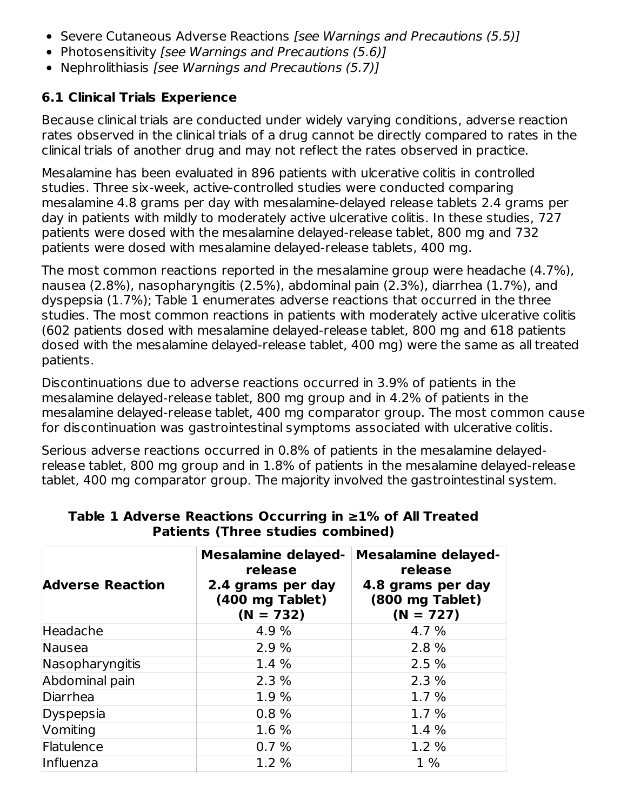- Severe Cutaneous Adverse Reactions *[see Warnings and Precautions (5.5)]*
- Photosensitivity [see Warnings and Precautions (5.6)]
- Nephrolithiasis [see Warnings and Precautions (5.7)]

## **6.1 Clinical Trials Experience**

Because clinical trials are conducted under widely varying conditions, adverse reaction rates observed in the clinical trials of a drug cannot be directly compared to rates in the clinical trials of another drug and may not reflect the rates observed in practice.

Mesalamine has been evaluated in 896 patients with ulcerative colitis in controlled studies. Three six-week, active-controlled studies were conducted comparing mesalamine 4.8 grams per day with mesalamine-delayed release tablets 2.4 grams per day in patients with mildly to moderately active ulcerative colitis. In these studies, 727 patients were dosed with the mesalamine delayed-release tablet, 800 mg and 732 patients were dosed with mesalamine delayed-release tablets, 400 mg.

The most common reactions reported in the mesalamine group were headache (4.7%), nausea (2.8%), nasopharyngitis (2.5%), abdominal pain (2.3%), diarrhea (1.7%), and dyspepsia (1.7%); Table 1 enumerates adverse reactions that occurred in the three studies. The most common reactions in patients with moderately active ulcerative colitis (602 patients dosed with mesalamine delayed-release tablet, 800 mg and 618 patients dosed with the mesalamine delayed-release tablet, 400 mg) were the same as all treated patients.

Discontinuations due to adverse reactions occurred in 3.9% of patients in the mesalamine delayed-release tablet, 800 mg group and in 4.2% of patients in the mesalamine delayed-release tablet, 400 mg comparator group. The most common cause for discontinuation was gastrointestinal symptoms associated with ulcerative colitis.

Serious adverse reactions occurred in 0.8% of patients in the mesalamine delayedrelease tablet, 800 mg group and in 1.8% of patients in the mesalamine delayed-release tablet, 400 mg comparator group. The majority involved the gastrointestinal system.

| <b>Adverse Reaction</b> | <b>Mesalamine delayed-</b><br>release<br>2.4 grams per day<br>(400 mg Tablet)<br>$(N = 732)$ | <b>Mesalamine delayed-</b><br>release<br>4.8 grams per day<br>(800 mg Tablet)<br>$(N = 727)$ |
|-------------------------|----------------------------------------------------------------------------------------------|----------------------------------------------------------------------------------------------|
| Headache                | 4.9 %                                                                                        | 4.7 %                                                                                        |
| Nausea                  | 2.9%                                                                                         | 2.8 %                                                                                        |
| Nasopharyngitis         | 1.4 %                                                                                        | 2.5%                                                                                         |
| Abdominal pain          | 2.3%                                                                                         | 2.3%                                                                                         |
| Diarrhea                | 1.9%                                                                                         | 1.7%                                                                                         |
| Dyspepsia               | 0.8%                                                                                         | 1.7%                                                                                         |
| Vomiting                | 1.6 %                                                                                        | 1.4 %                                                                                        |
| Flatulence              | 0.7%                                                                                         | 1.2 %                                                                                        |
| Influenza               | 1.2%                                                                                         | $1\%$                                                                                        |

#### **Table 1 Adverse Reactions Occurring in ≥1% of All Treated Patients (Three studies combined)**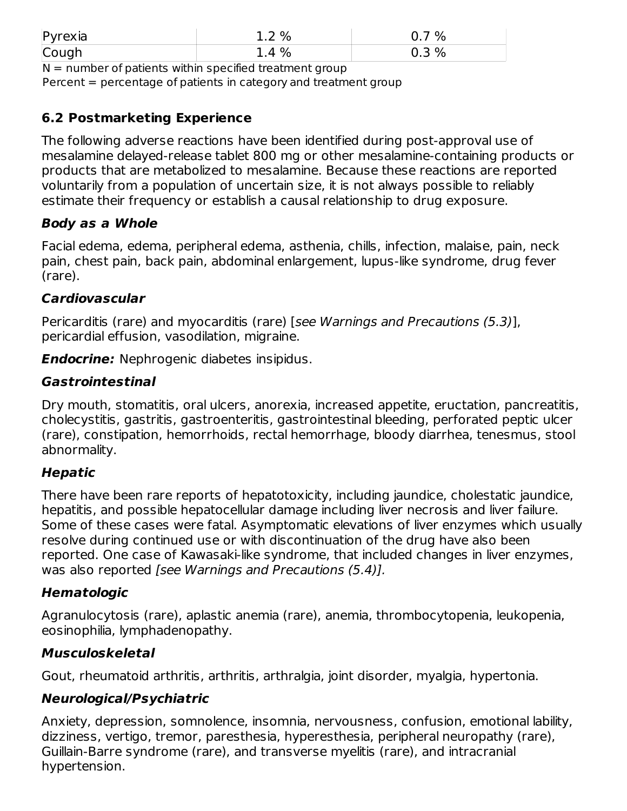| $P$ <i>yrexia</i> | 2%<br>. . <u>.</u> | %        |
|-------------------|--------------------|----------|
| Cough             | %<br>Д             | %<br>U.J |

 $N =$  number of patients within specified treatment group

Percent = percentage of patients in category and treatment group

## **6.2 Postmarketing Experience**

The following adverse reactions have been identified during post-approval use of mesalamine delayed-release tablet 800 mg or other mesalamine-containing products or products that are metabolized to mesalamine. Because these reactions are reported voluntarily from a population of uncertain size, it is not always possible to reliably estimate their frequency or establish a causal relationship to drug exposure.

#### **Body as a Whole**

Facial edema, edema, peripheral edema, asthenia, chills, infection, malaise, pain, neck pain, chest pain, back pain, abdominal enlargement, lupus-like syndrome, drug fever (rare).

#### **Cardiovascular**

Pericarditis (rare) and myocarditis (rare) [see Warnings and Precautions (5.3)], pericardial effusion, vasodilation, migraine.

**Endocrine:** Nephrogenic diabetes insipidus.

#### **Gastrointestinal**

Dry mouth, stomatitis, oral ulcers, anorexia, increased appetite, eructation, pancreatitis, cholecystitis, gastritis, gastroenteritis, gastrointestinal bleeding, perforated peptic ulcer (rare), constipation, hemorrhoids, rectal hemorrhage, bloody diarrhea, tenesmus, stool abnormality.

#### **Hepatic**

There have been rare reports of hepatotoxicity, including jaundice, cholestatic jaundice, hepatitis, and possible hepatocellular damage including liver necrosis and liver failure. Some of these cases were fatal. Asymptomatic elevations of liver enzymes which usually resolve during continued use or with discontinuation of the drug have also been reported. One case of Kawasaki-like syndrome, that included changes in liver enzymes, was also reported [see Warnings and Precautions (5.4)].

### **Hematologic**

Agranulocytosis (rare), aplastic anemia (rare), anemia, thrombocytopenia, leukopenia, eosinophilia, lymphadenopathy.

#### **Musculoskeletal**

Gout, rheumatoid arthritis, arthritis, arthralgia, joint disorder, myalgia, hypertonia.

### **Neurological/Psychiatric**

Anxiety, depression, somnolence, insomnia, nervousness, confusion, emotional lability, dizziness, vertigo, tremor, paresthesia, hyperesthesia, peripheral neuropathy (rare), Guillain-Barre syndrome (rare), and transverse myelitis (rare), and intracranial hypertension.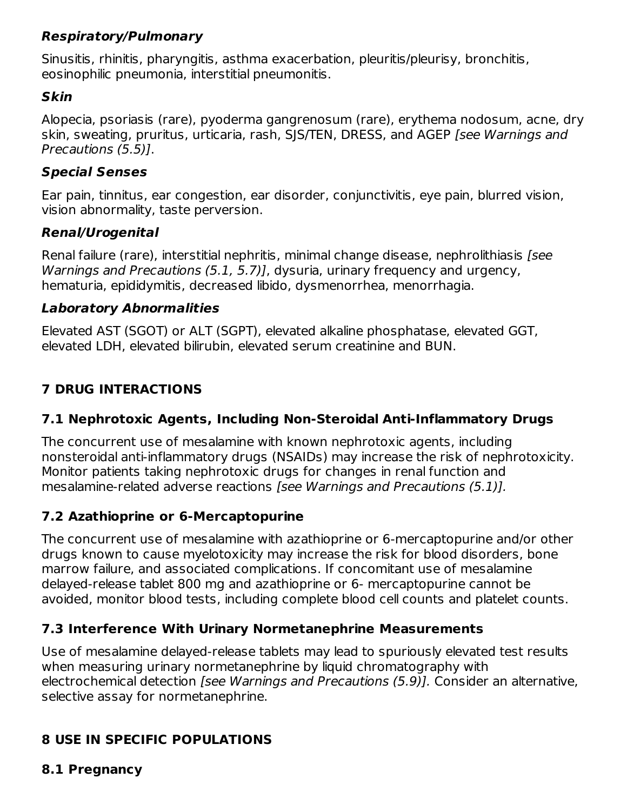## **Respiratory/Pulmonary**

Sinusitis, rhinitis, pharyngitis, asthma exacerbation, pleuritis/pleurisy, bronchitis, eosinophilic pneumonia, interstitial pneumonitis.

#### **Skin**

Alopecia, psoriasis (rare), pyoderma gangrenosum (rare), erythema nodosum, acne, dry skin, sweating, pruritus, urticaria, rash, SJS/TEN, DRESS, and AGEP [see Warnings and Precautions (5.5)].

#### **Special Senses**

Ear pain, tinnitus, ear congestion, ear disorder, conjunctivitis, eye pain, blurred vision, vision abnormality, taste perversion.

### **Renal/Urogenital**

Renal failure (rare), interstitial nephritis, minimal change disease, nephrolithiasis [see Warnings and Precautions (5.1, 5.7)], dysuria, urinary frequency and urgency, hematuria, epididymitis, decreased libido, dysmenorrhea, menorrhagia.

### **Laboratory Abnormalities**

Elevated AST (SGOT) or ALT (SGPT), elevated alkaline phosphatase, elevated GGT, elevated LDH, elevated bilirubin, elevated serum creatinine and BUN.

# **7 DRUG INTERACTIONS**

## **7.1 Nephrotoxic Agents, Including Non-Steroidal Anti-Inflammatory Drugs**

The concurrent use of mesalamine with known nephrotoxic agents, including nonsteroidal anti-inflammatory drugs (NSAIDs) may increase the risk of nephrotoxicity. Monitor patients taking nephrotoxic drugs for changes in renal function and mesalamine-related adverse reactions [see Warnings and Precautions (5.1)].

## **7.2 Azathioprine or 6-Mercaptopurine**

The concurrent use of mesalamine with azathioprine or 6-mercaptopurine and/or other drugs known to cause myelotoxicity may increase the risk for blood disorders, bone marrow failure, and associated complications. If concomitant use of mesalamine delayed-release tablet 800 mg and azathioprine or 6- mercaptopurine cannot be avoided, monitor blood tests, including complete blood cell counts and platelet counts.

## **7.3 Interference With Urinary Normetanephrine Measurements**

Use of mesalamine delayed-release tablets may lead to spuriously elevated test results when measuring urinary normetanephrine by liquid chromatography with electrochemical detection *[see Warnings and Precautions (5.9)]*. Consider an alternative, selective assay for normetanephrine.

# **8 USE IN SPECIFIC POPULATIONS**

### **8.1 Pregnancy**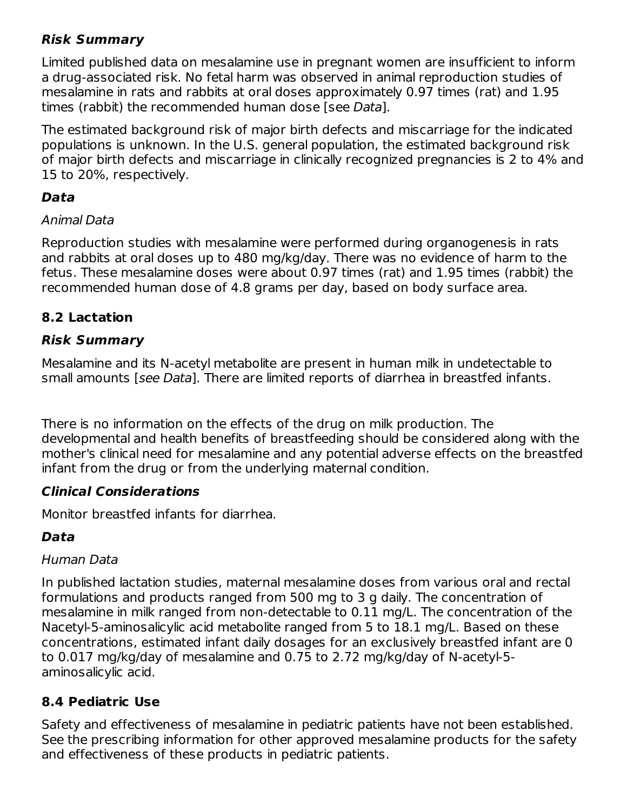## **Risk Summary**

Limited published data on mesalamine use in pregnant women are insufficient to inform a drug-associated risk. No fetal harm was observed in animal reproduction studies of mesalamine in rats and rabbits at oral doses approximately 0.97 times (rat) and 1.95 times (rabbit) the recommended human dose [see Data].

The estimated background risk of major birth defects and miscarriage for the indicated populations is unknown. In the U.S. general population, the estimated background risk of major birth defects and miscarriage in clinically recognized pregnancies is 2 to 4% and 15 to 20%, respectively.

## **Data**

#### Animal Data

Reproduction studies with mesalamine were performed during organogenesis in rats and rabbits at oral doses up to 480 mg/kg/day. There was no evidence of harm to the fetus. These mesalamine doses were about 0.97 times (rat) and 1.95 times (rabbit) the recommended human dose of 4.8 grams per day, based on body surface area.

## **8.2 Lactation**

## **Risk Summary**

Mesalamine and its N-acetyl metabolite are present in human milk in undetectable to small amounts [see Data]. There are limited reports of diarrhea in breastfed infants.

There is no information on the effects of the drug on milk production. The developmental and health benefits of breastfeeding should be considered along with the mother's clinical need for mesalamine and any potential adverse effects on the breastfed infant from the drug or from the underlying maternal condition.

### **Clinical Considerations**

Monitor breastfed infants for diarrhea.

## **Data**

### Human Data

In published lactation studies, maternal mesalamine doses from various oral and rectal formulations and products ranged from 500 mg to 3 g daily. The concentration of mesalamine in milk ranged from non-detectable to 0.11 mg/L. The concentration of the Nacetyl-5-aminosalicylic acid metabolite ranged from 5 to 18.1 mg/L. Based on these concentrations, estimated infant daily dosages for an exclusively breastfed infant are 0 to 0.017 mg/kg/day of mesalamine and 0.75 to 2.72 mg/kg/day of N-acetyl-5 aminosalicylic acid.

### **8.4 Pediatric Use**

Safety and effectiveness of mesalamine in pediatric patients have not been established. See the prescribing information for other approved mesalamine products for the safety and effectiveness of these products in pediatric patients.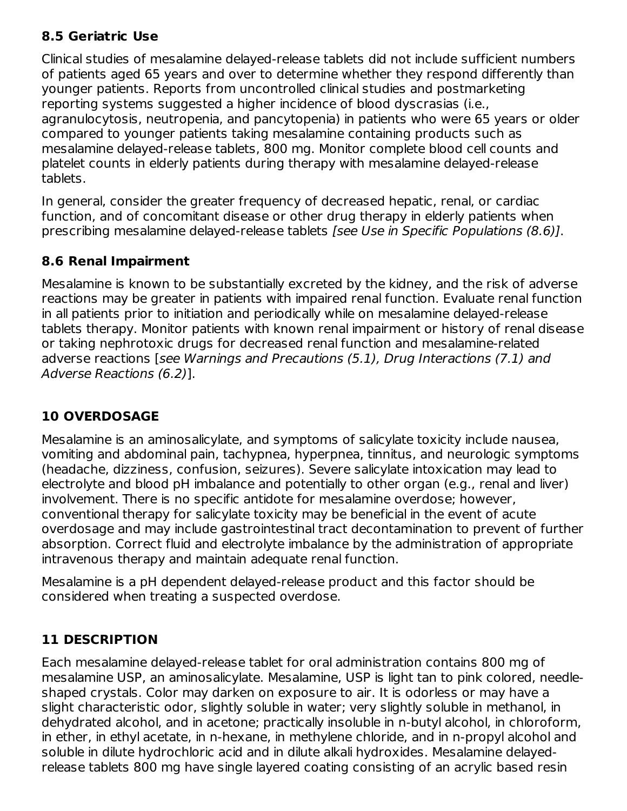### **8.5 Geriatric Use**

Clinical studies of mesalamine delayed-release tablets did not include sufficient numbers of patients aged 65 years and over to determine whether they respond differently than younger patients. Reports from uncontrolled clinical studies and postmarketing reporting systems suggested a higher incidence of blood dyscrasias (i.e., agranulocytosis, neutropenia, and pancytopenia) in patients who were 65 years or older compared to younger patients taking mesalamine containing products such as mesalamine delayed-release tablets, 800 mg. Monitor complete blood cell counts and platelet counts in elderly patients during therapy with mesalamine delayed-release tablets.

In general, consider the greater frequency of decreased hepatic, renal, or cardiac function, and of concomitant disease or other drug therapy in elderly patients when prescribing mesalamine delayed-release tablets [see Use in Specific Populations (8.6)].

#### **8.6 Renal Impairment**

Mesalamine is known to be substantially excreted by the kidney, and the risk of adverse reactions may be greater in patients with impaired renal function. Evaluate renal function in all patients prior to initiation and periodically while on mesalamine delayed-release tablets therapy. Monitor patients with known renal impairment or history of renal disease or taking nephrotoxic drugs for decreased renal function and mesalamine-related adverse reactions [see Warnings and Precautions (5.1), Drug Interactions (7.1) and Adverse Reactions (6.2)].

### **10 OVERDOSAGE**

Mesalamine is an aminosalicylate, and symptoms of salicylate toxicity include nausea, vomiting and abdominal pain, tachypnea, hyperpnea, tinnitus, and neurologic symptoms (headache, dizziness, confusion, seizures). Severe salicylate intoxication may lead to electrolyte and blood pH imbalance and potentially to other organ (e.g., renal and liver) involvement. There is no specific antidote for mesalamine overdose; however, conventional therapy for salicylate toxicity may be beneficial in the event of acute overdosage and may include gastrointestinal tract decontamination to prevent of further absorption. Correct fluid and electrolyte imbalance by the administration of appropriate intravenous therapy and maintain adequate renal function.

Mesalamine is a pH dependent delayed-release product and this factor should be considered when treating a suspected overdose.

### **11 DESCRIPTION**

Each mesalamine delayed-release tablet for oral administration contains 800 mg of mesalamine USP, an aminosalicylate. Mesalamine, USP is light tan to pink colored, needleshaped crystals. Color may darken on exposure to air. It is odorless or may have a slight characteristic odor, slightly soluble in water; very slightly soluble in methanol, in dehydrated alcohol, and in acetone; practically insoluble in n-butyl alcohol, in chloroform, in ether, in ethyl acetate, in n-hexane, in methylene chloride, and in n-propyl alcohol and soluble in dilute hydrochloric acid and in dilute alkali hydroxides. Mesalamine delayedrelease tablets 800 mg have single layered coating consisting of an acrylic based resin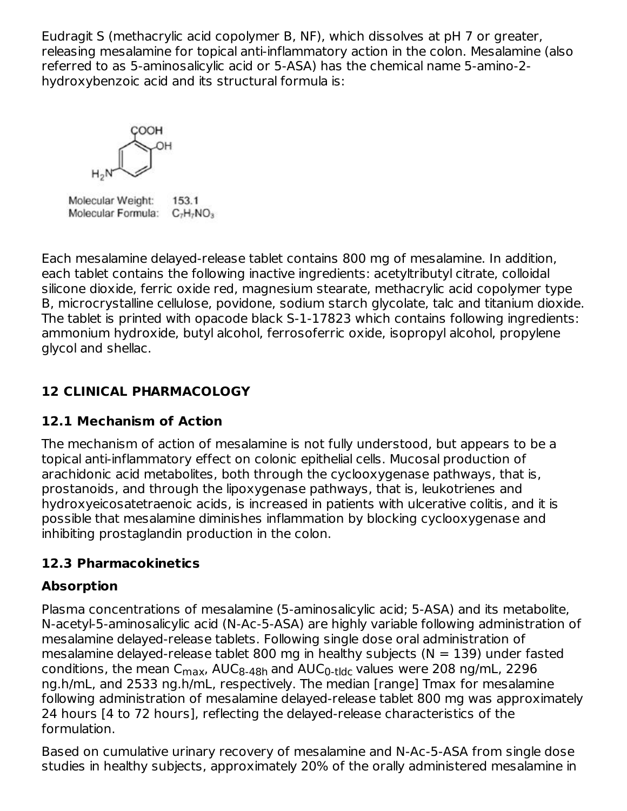Eudragit S (methacrylic acid copolymer B, NF), which dissolves at pH 7 or greater, releasing mesalamine for topical anti-inflammatory action in the colon. Mesalamine (also referred to as 5-aminosalicylic acid or 5-ASA) has the chemical name 5-amino-2 hydroxybenzoic acid and its structural formula is:

HOO:

Molecular Weight: 153.1 Molecular Formula: C<sub>7</sub>H<sub>7</sub>NO<sub>3</sub>

Each mesalamine delayed-release tablet contains 800 mg of mesalamine. In addition, each tablet contains the following inactive ingredients: acetyltributyl citrate, colloidal silicone dioxide, ferric oxide red, magnesium stearate, methacrylic acid copolymer type B, microcrystalline cellulose, povidone, sodium starch glycolate, talc and titanium dioxide. The tablet is printed with opacode black S-1-17823 which contains following ingredients: ammonium hydroxide, butyl alcohol, ferrosoferric oxide, isopropyl alcohol, propylene glycol and shellac.

# **12 CLINICAL PHARMACOLOGY**

## **12.1 Mechanism of Action**

The mechanism of action of mesalamine is not fully understood, but appears to be a topical anti-inflammatory effect on colonic epithelial cells. Mucosal production of arachidonic acid metabolites, both through the cyclooxygenase pathways, that is, prostanoids, and through the lipoxygenase pathways, that is, leukotrienes and hydroxyeicosatetraenoic acids, is increased in patients with ulcerative colitis, and it is possible that mesalamine diminishes inflammation by blocking cyclooxygenase and inhibiting prostaglandin production in the colon.

# **12.3 Pharmacokinetics**

# **Absorption**

Plasma concentrations of mesalamine (5-aminosalicylic acid; 5-ASA) and its metabolite, N-acetyl-5-aminosalicylic acid (N-Ac-5-ASA) are highly variable following administration of mesalamine delayed-release tablets. Following single dose oral administration of mesalamine delayed-release tablet 800 mg in healthy subjects ( $N = 139$ ) under fasted conditions, the mean C<sub>max</sub>, AUC<sub>8-48h</sub> and AUC<sub>0-tldc</sub> values were 208 ng/mL, 2296 ng.h/mL, and 2533 ng.h/mL, respectively. The median [range] Tmax for mesalamine following administration of mesalamine delayed-release tablet 800 mg was approximately 24 hours [4 to 72 hours], reflecting the delayed-release characteristics of the formulation.

Based on cumulative urinary recovery of mesalamine and N-Ac-5-ASA from single dose studies in healthy subjects, approximately 20% of the orally administered mesalamine in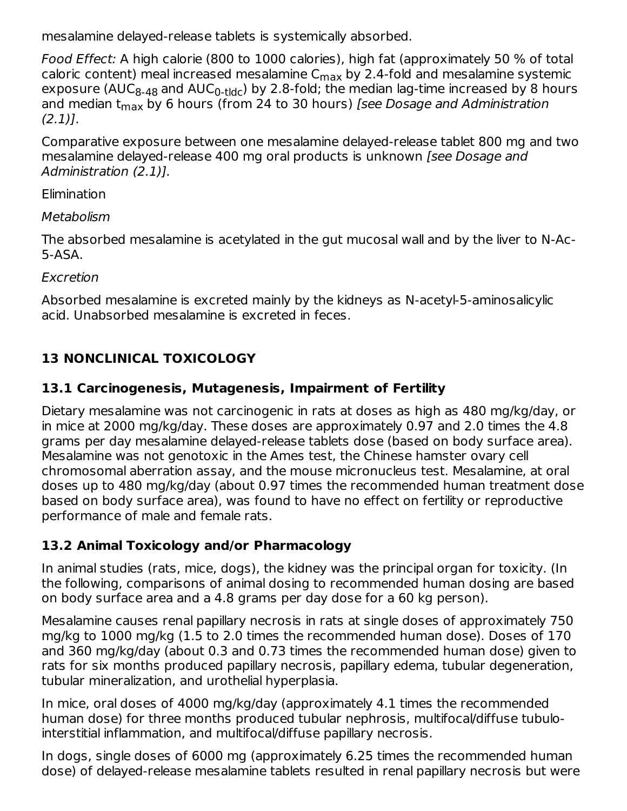mesalamine delayed-release tablets is systemically absorbed.

Food Effect: A high calorie (800 to 1000 calories), high fat (approximately 50 % of total caloric content) meal increased mesalamine C $_{\sf max}$  by 2.4-fold and mesalamine systemic exposure (AUC<sub>8-48</sub> and AUC<sub>0-tldc</sub>) by 2.8-fold; the median lag-time increased by 8 hours and median t<sub>max</sub> by 6 hours (from 24 to 30 hours) *[see Dosage and Administration*  $(2.1)$ ].

Comparative exposure between one mesalamine delayed-release tablet 800 mg and two mesalamine delayed-release 400 mg oral products is unknown [see Dosage and Administration (2.1)].

Elimination

Metabolism

The absorbed mesalamine is acetylated in the gut mucosal wall and by the liver to N-Ac-5-ASA.

Excretion

Absorbed mesalamine is excreted mainly by the kidneys as N-acetyl-5-aminosalicylic acid. Unabsorbed mesalamine is excreted in feces.

# **13 NONCLINICAL TOXICOLOGY**

# **13.1 Carcinogenesis, Mutagenesis, Impairment of Fertility**

Dietary mesalamine was not carcinogenic in rats at doses as high as 480 mg/kg/day, or in mice at 2000 mg/kg/day. These doses are approximately 0.97 and 2.0 times the 4.8 grams per day mesalamine delayed-release tablets dose (based on body surface area). Mesalamine was not genotoxic in the Ames test, the Chinese hamster ovary cell chromosomal aberration assay, and the mouse micronucleus test. Mesalamine, at oral doses up to 480 mg/kg/day (about 0.97 times the recommended human treatment dose based on body surface area), was found to have no effect on fertility or reproductive performance of male and female rats.

# **13.2 Animal Toxicology and/or Pharmacology**

In animal studies (rats, mice, dogs), the kidney was the principal organ for toxicity. (In the following, comparisons of animal dosing to recommended human dosing are based on body surface area and a 4.8 grams per day dose for a 60 kg person).

Mesalamine causes renal papillary necrosis in rats at single doses of approximately 750 mg/kg to 1000 mg/kg (1.5 to 2.0 times the recommended human dose). Doses of 170 and 360 mg/kg/day (about 0.3 and 0.73 times the recommended human dose) given to rats for six months produced papillary necrosis, papillary edema, tubular degeneration, tubular mineralization, and urothelial hyperplasia.

In mice, oral doses of 4000 mg/kg/day (approximately 4.1 times the recommended human dose) for three months produced tubular nephrosis, multifocal/diffuse tubulointerstitial inflammation, and multifocal/diffuse papillary necrosis.

In dogs, single doses of 6000 mg (approximately 6.25 times the recommended human dose) of delayed-release mesalamine tablets resulted in renal papillary necrosis but were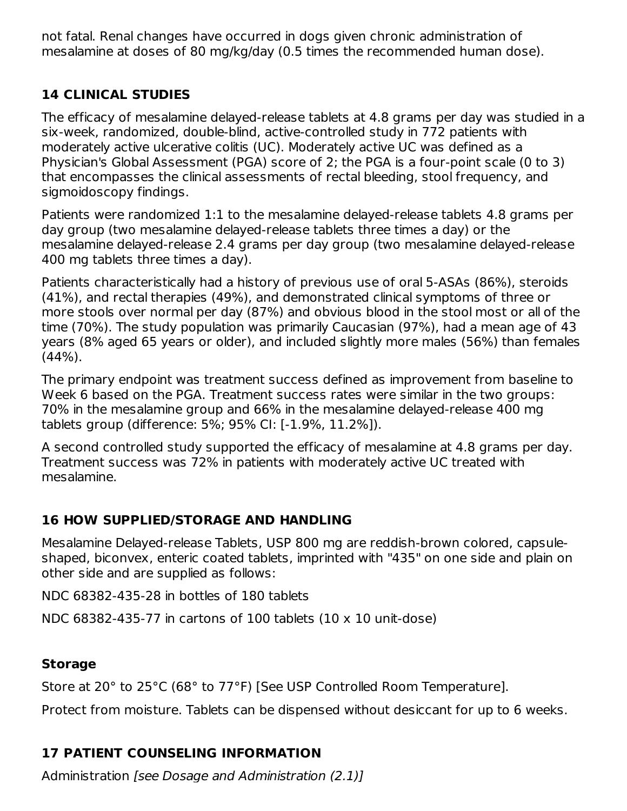not fatal. Renal changes have occurred in dogs given chronic administration of mesalamine at doses of 80 mg/kg/day (0.5 times the recommended human dose).

## **14 CLINICAL STUDIES**

The efficacy of mesalamine delayed-release tablets at 4.8 grams per day was studied in a six-week, randomized, double-blind, active-controlled study in 772 patients with moderately active ulcerative colitis (UC). Moderately active UC was defined as a Physician's Global Assessment (PGA) score of 2; the PGA is a four-point scale (0 to 3) that encompasses the clinical assessments of rectal bleeding, stool frequency, and sigmoidoscopy findings.

Patients were randomized 1:1 to the mesalamine delayed-release tablets 4.8 grams per day group (two mesalamine delayed-release tablets three times a day) or the mesalamine delayed-release 2.4 grams per day group (two mesalamine delayed-release 400 mg tablets three times a day).

Patients characteristically had a history of previous use of oral 5-ASAs (86%), steroids (41%), and rectal therapies (49%), and demonstrated clinical symptoms of three or more stools over normal per day (87%) and obvious blood in the stool most or all of the time (70%). The study population was primarily Caucasian (97%), had a mean age of 43 years (8% aged 65 years or older), and included slightly more males (56%) than females (44%).

The primary endpoint was treatment success defined as improvement from baseline to Week 6 based on the PGA. Treatment success rates were similar in the two groups: 70% in the mesalamine group and 66% in the mesalamine delayed-release 400 mg tablets group (difference: 5%; 95% CI: [-1.9%, 11.2%]).

A second controlled study supported the efficacy of mesalamine at 4.8 grams per day. Treatment success was 72% in patients with moderately active UC treated with mesalamine.

## **16 HOW SUPPLIED/STORAGE AND HANDLING**

Mesalamine Delayed-release Tablets, USP 800 mg are reddish-brown colored, capsuleshaped, biconvex, enteric coated tablets, imprinted with "435" on one side and plain on other side and are supplied as follows:

NDC 68382-435-28 in bottles of 180 tablets

NDC 68382-435-77 in cartons of 100 tablets (10 x 10 unit-dose)

### **Storage**

Store at 20° to 25°C (68° to 77°F) [See USP Controlled Room Temperature].

Protect from moisture. Tablets can be dispensed without desiccant for up to 6 weeks.

# **17 PATIENT COUNSELING INFORMATION**

Administration [see Dosage and Administration (2.1)]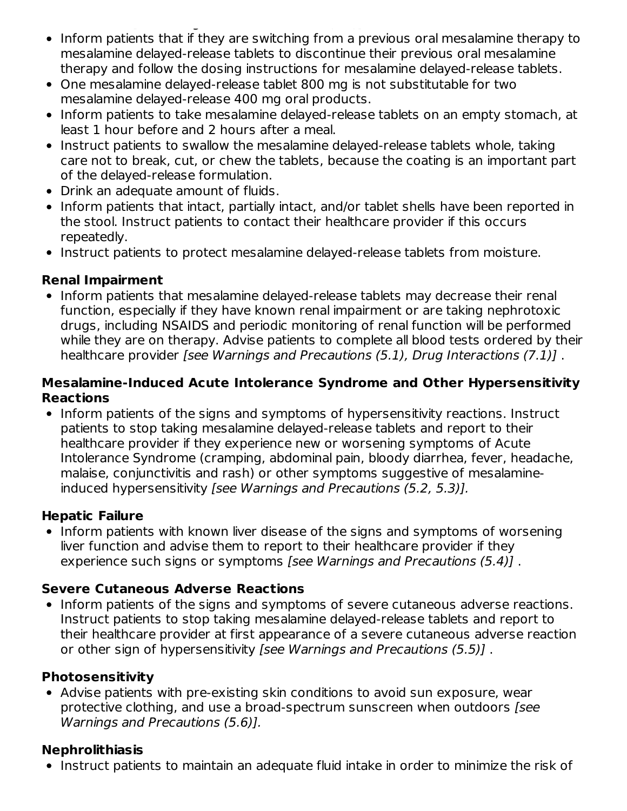- Administration [see Dosage and Administration (2.1)] • Inform patients that if they are switching from a previous oral mesalamine therapy to mesalamine delayed-release tablets to discontinue their previous oral mesalamine therapy and follow the dosing instructions for mesalamine delayed-release tablets.
- One mesalamine delayed-release tablet 800 mg is not substitutable for two mesalamine delayed-release 400 mg oral products.
- Inform patients to take mesalamine delayed-release tablets on an empty stomach, at least 1 hour before and 2 hours after a meal.
- Instruct patients to swallow the mesalamine delayed-release tablets whole, taking care not to break, cut, or chew the tablets, because the coating is an important part of the delayed-release formulation.
- Drink an adequate amount of fluids.
- Inform patients that intact, partially intact, and/or tablet shells have been reported in the stool. Instruct patients to contact their healthcare provider if this occurs repeatedly.
- Instruct patients to protect mesalamine delayed-release tablets from moisture.

#### **Renal Impairment**

• Inform patients that mesalamine delayed-release tablets may decrease their renal function, especially if they have known renal impairment or are taking nephrotoxic drugs, including NSAIDS and periodic monitoring of renal function will be performed while they are on therapy. Advise patients to complete all blood tests ordered by their healthcare provider [see Warnings and Precautions (5.1), Drug Interactions (7.1)] .

#### **Mesalamine-Induced Acute Intolerance Syndrome and Other Hypersensitivity Reactions**

• Inform patients of the signs and symptoms of hypersensitivity reactions. Instruct patients to stop taking mesalamine delayed-release tablets and report to their healthcare provider if they experience new or worsening symptoms of Acute Intolerance Syndrome (cramping, abdominal pain, bloody diarrhea, fever, headache, malaise, conjunctivitis and rash) or other symptoms suggestive of mesalamineinduced hypersensitivity [see Warnings and Precautions (5.2, 5.3)].

#### **Hepatic Failure**

• Inform patients with known liver disease of the signs and symptoms of worsening liver function and advise them to report to their healthcare provider if they experience such signs or symptoms [see Warnings and Precautions (5.4)] .

### **Severe Cutaneous Adverse Reactions**

• Inform patients of the signs and symptoms of severe cutaneous adverse reactions. Instruct patients to stop taking mesalamine delayed-release tablets and report to their healthcare provider at first appearance of a severe cutaneous adverse reaction or other sign of hypersensitivity [see Warnings and Precautions (5.5)] .

### **Photosensitivity**

Advise patients with pre-existing skin conditions to avoid sun exposure, wear protective clothing, and use a broad-spectrum sunscreen when outdoors [see Warnings and Precautions (5.6)].

### **Nephrolithiasis**

• Instruct patients to maintain an adequate fluid intake in order to minimize the risk of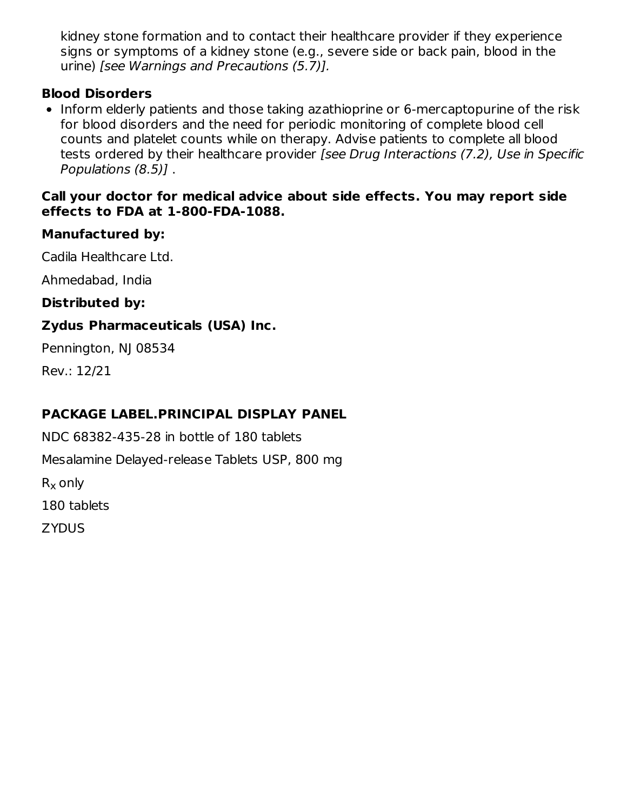kidney stone formation and to contact their healthcare provider if they experience signs or symptoms of a kidney stone (e.g., severe side or back pain, blood in the urine) [see Warnings and Precautions (5.7)].

#### **Blood Disorders**

• Inform elderly patients and those taking azathioprine or 6-mercaptopurine of the risk for blood disorders and the need for periodic monitoring of complete blood cell counts and platelet counts while on therapy. Advise patients to complete all blood tests ordered by their healthcare provider [see Drug Interactions (7.2), Use in Specific Populations (8.5)] .

#### **Call your doctor for medical advice about side effects. You may report side effects to FDA at 1-800-FDA-1088.**

### **Manufactured by:**

Cadila Healthcare Ltd.

Ahmedabad, India

**Distributed by:**

## **Zydus Pharmaceuticals (USA) Inc.**

Pennington, NJ 08534

Rev.: 12/21

## **PACKAGE LABEL.PRINCIPAL DISPLAY PANEL**

NDC 68382-435-28 in bottle of 180 tablets Mesalamine Delayed-release Tablets USP, 800 mg  $\mathsf{R}_{\mathsf{X}}$  only 180 tablets ZYDUS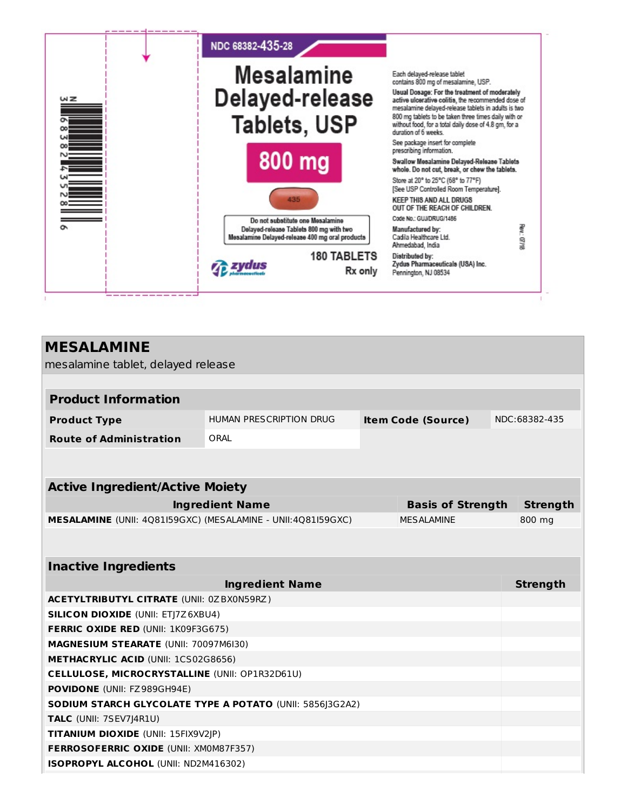

| <b>MESALAMINE</b>                                            |  |                    |                           |                          |  |  |
|--------------------------------------------------------------|--|--------------------|---------------------------|--------------------------|--|--|
| mesalamine tablet, delayed release                           |  |                    |                           |                          |  |  |
|                                                              |  |                    |                           |                          |  |  |
|                                                              |  |                    |                           |                          |  |  |
| HUMAN PRESCRIPTION DRUG                                      |  |                    |                           | NDC:68382-435            |  |  |
| ORAL                                                         |  |                    |                           |                          |  |  |
|                                                              |  |                    |                           |                          |  |  |
|                                                              |  |                    |                           |                          |  |  |
| <b>Active Ingredient/Active Moiety</b>                       |  |                    |                           |                          |  |  |
| <b>Ingredient Name</b>                                       |  |                    |                           | <b>Strength</b>          |  |  |
| MESALAMINE (UNII: 4Q81I59GXC) (MESALAMINE - UNII:4Q81I59GXC) |  | <b>MFSAI AMINF</b> |                           | 800 mg                   |  |  |
|                                                              |  |                    |                           |                          |  |  |
|                                                              |  |                    |                           |                          |  |  |
| <b>Inactive Ingredients</b>                                  |  |                    |                           |                          |  |  |
| <b>Ingredient Name</b>                                       |  |                    |                           | <b>Strength</b>          |  |  |
| <b>ACETYLTRIBUTYL CITRATE (UNII: 0ZBX0N59RZ)</b>             |  |                    |                           |                          |  |  |
| <b>SILICON DIOXIDE (UNII: ETJ7Z6XBU4)</b>                    |  |                    |                           |                          |  |  |
| FERRIC OXIDE RED (UNII: 1K09F3G675)                          |  |                    |                           |                          |  |  |
| MAGNESIUM STEARATE (UNII: 70097M6I30)                        |  |                    |                           |                          |  |  |
| METHACRYLIC ACID (UNII: 1CS02G8656)                          |  |                    |                           |                          |  |  |
| CELLULOSE, MICROCRYSTALLINE (UNII: OP1R32D61U)               |  |                    |                           |                          |  |  |
| POVIDONE (UNII: FZ989GH94E)                                  |  |                    |                           |                          |  |  |
| SODIUM STARCH GLYCOLATE TYPE A POTATO (UNII: 5856J3G2A2)     |  |                    |                           |                          |  |  |
| <b>TALC</b> (UNII: 7SEV7J4R1U)                               |  |                    |                           |                          |  |  |
| TITANIUM DIOXIDE (UNII: 15FIX9V2JP)                          |  |                    |                           |                          |  |  |
| <b>FERROSOFERRIC OXIDE (UNII: XM0M87F357)</b>                |  |                    |                           |                          |  |  |
| ISOPROPYL ALCOHOL (UNII: ND2M416302)                         |  |                    |                           |                          |  |  |
|                                                              |  |                    | <b>Item Code (Source)</b> | <b>Basis of Strength</b> |  |  |